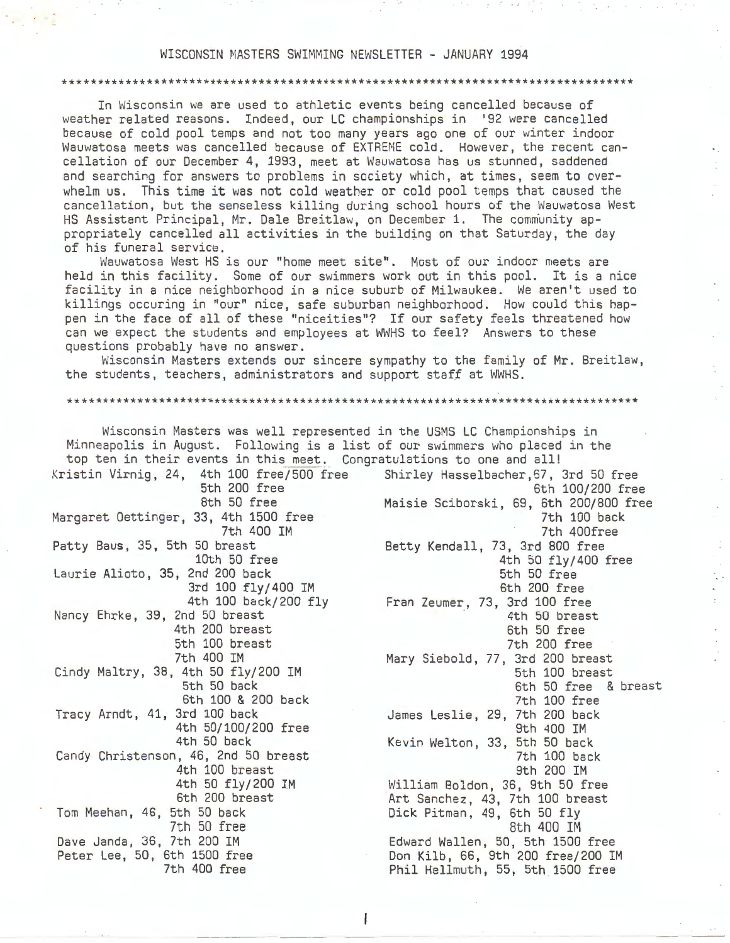#### WISCONSIN MASTERS SWIMMING NEWSLETTER - JANUARY 1994

#### \*\*\*\*\*\*\*\*\*\*\*\*\*\*\*\*\*\*\*\*\*\*\*\*\*\*\*\*\*\*\*\*\*\*\*\*\*\*\*\*\*\*\*\*\*\*\*\*\*\*\*\*\*\*\*\*\*\*\*\*\*\*\*\*\*\*\*\*\*\*\*\*\*\*\*\*\*\*\*\*\*

In Wisconsin we are used to athletic events being cancelled because of weather related reasons. Indeed, our LC championships in '92 were cancelled because of cold pool temps and not too many years ago one of our winter indoor Wauwatosa meets was cancelled because of EXTREME cold. However, the recent cancellation of our December 4, 1993, meet at Wauwatosa has us stunned, saddened and searching for answers to problems in society which, at times, seem to overwhelm us. This time it was not cold weather or cold pool temps that caused the cancellation, but the senseless killing during school hours of the Wauwatosa West HS Assistant Principal, Mr. Dale Breitlaw, on December 1. The community appropriately cancelled all activities in the building on that Saturday, the day of his funeral service.

Wauwatosa West HS is our "home meet site". Most of our indoor meets are held in this facility. Some of our swimmers work out in this pool. It is a nice facility in a nice neighborhood in a nice suburb of Milwaukee. We aren't used to killings occuring in "our" nice, safe suburban neighborhood. How could this happen in the face of all of these "niceities"? If our safety feels threatened how can we expect the students and employees at WWHS to feel? Answers to these questions probably have no answer.

Wisconsin Masters extends our sincere sympathy to the family of Mr. Breitlaw, the students, teachers, administrators and support staff at WWHS.

\*\*\*\*\*\*\*\*\*\*\*\*\*\*\*\*\*\*\*\*\*\*\*\*\*\*\*\*\*\*\*\*\*\*\*\*\*\*\*\*\*\*\*\*\*\*\*\*\*\*\*\*\*\*\*\*\*\*\*\*\*\*\*\*\*\*\*\*\*\*\*\*\*\*\*\*\*\*\*\*\*

| Wisconsin Masters was well represented in the USMS LC Championships in                                                                                |                                               |
|-------------------------------------------------------------------------------------------------------------------------------------------------------|-----------------------------------------------|
| Minneapolis in August. Following is a list of our swimmers who placed in the<br>top ten in their events in this meet. Congratulations to one and all! |                                               |
| Kristin Virnig, 24, 4th 100 free/500 free Shirley Hasselbacher, 67, 3rd 50 free                                                                       |                                               |
| 5th 200 free                                                                                                                                          | 6th 100/200 free                              |
| 8th 50 free                                                                                                                                           | Maisie Sciborski, 69, 6th 200/800 free        |
| Margaret Oettinger, 33, 4th 1500 free<br>7th 400 IM                                                                                                   | 7th 100 back<br>7th 400free                   |
| Patty Baus, 35, 5th 50 breast                                                                                                                         | Betty Kendall, 73, 3rd 800 free               |
| 10th 50 free                                                                                                                                          | 4th 50 fly/400 free                           |
| Laurie Alioto, 35, 2nd 200 back                                                                                                                       | 5th 50 free                                   |
| 3rd 100 fly/400 IM                                                                                                                                    | 6th 200 free                                  |
| 4th 100 back/200 fly                                                                                                                                  | Fran Zeumer, 73, 3rd 100 free                 |
| Nancy Ehrke, 39, 2nd 50 breast<br>4th 200 breast                                                                                                      | 4th 50 breast<br>6th 50 free                  |
| 5th 100 breast                                                                                                                                        | 7th 200 free                                  |
| 7th 400 IM                                                                                                                                            | Mary Siebold, 77, 3rd 200 breast              |
| Cindy Maltry, 38, 4th 50 fly/200 IM                                                                                                                   | 5th 100 breast                                |
| 5th 50 back                                                                                                                                           | 6th 50 free & breast                          |
| 6th 100 & 200 back                                                                                                                                    | 7th 100 free                                  |
| Tracy Arndt, 41, 3rd 100 back                                                                                                                         | James Leslie, 29, 7th 200 back                |
| 4th 50/100/200 free                                                                                                                                   | 9th 400 IM                                    |
| 4th 50 back                                                                                                                                           | Kevin Welton, 33, 5th 50 back                 |
| Candy Christenson, 46, 2nd 50 breast<br>4th 100 breast                                                                                                | 7th 100 back                                  |
| 4th 50 fly/200 IM                                                                                                                                     | 9th 200 IM<br>William Boldon, 36, 9th 50 free |
| 6th 200 breast                                                                                                                                        | Art Sanchez, 43, 7th 100 breast               |
| Tom Meehan, 46, 5th 50 back                                                                                                                           | Dick Pitman, 49, 6th 50 fly                   |
| 7th 50 free                                                                                                                                           | 8th 400 IM                                    |
| Dave Janda, 36, 7th 200 IM                                                                                                                            | Edward Wallen, 50, 5th 1500 free              |
| Peter Lee, 50, 6th 1500 free                                                                                                                          | Don Kilb, 66, 9th 200 free/200 IM             |
| 7th 400 free                                                                                                                                          | Phil Hellmuth, 55, 5th 1500 free              |

ł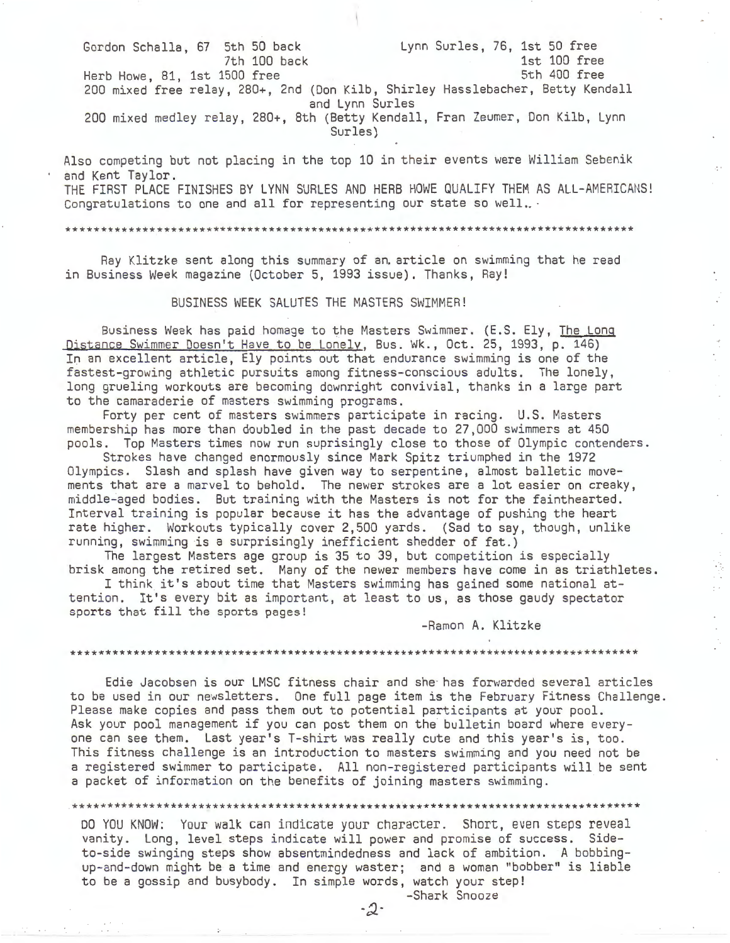Gordon Schalla, 67 5th 50 back 7th 100 back Herb Howe, 81, 1st 1500 free Lynn Surles, 76, 1st 50 free 1st 100 free 5th 400 free 200 mixed free relay, 280+, 2nd (Don Kilb, Shirley Hasslebacher, Betty Kendall and Lynn Surles 200 mixed medley relay, 280+, 8th (Betty Kendall, Fran Zeumer, Don Kilb, Lynn Surles)

Also competing but not placing in the top 10 in their events were William Sebenik and Kent Taylor. THE FIRST PLACE FINISHES BY LYNN SURLES AND HERB HOWE QUALIFY THEM AS ALL-AMERICANS! Congratulations to one and all for representing our state so well..  $\cdot$ 

\*\*\*\*\*\*\*\*\*\*\*\*\*\*\*\*\*\*\*\*\*\*\*\*\*\*\*\*\*\*\*\*\*\*\*\*\*\*\*\*\*\*\*\*\*\*\*\*\*\*\*\*\*\*\*\*\*\*\*\*\*\*\*\*\*\*\*\*\*\*\*\*\*\*\*\*\*\*\*\*\*

Ray Klitzke sent along this summary of an article on swimming that he read in Business Week magazine (October 5, 1993 issue). Thanks, Ray!

BUSINESS WEEK SALUTES THE MASTERS SWIMMER!

Business Week has paid homage to the Masters Swimmer. (E.S. Ely, The Long Distance Swimmer Doesn't Have to be Lonely, Bus. Wk., Oct. 25, 1993, p. 146) In an excellent article, Ely points out that endurance swimming is one of the fastest-growing athletic pursuits among fitness-conscious adults. The lonely, long grueling workouts are becoming downright convivial, thanks in a large part to the camaraderie of masters swimming programs.

Forty per cent of masters swimmers participate in racing. U.S. Masters membership has more than doubled in the past decade to 27,000 swimmers at 450 pools. Top Masters times now run suprisingly close to those of Olympic contenders.

Strokes have changed enormously since Mark Spitz triumphed in the 1972 Olympics. Slash and splash have given way to serpentine, almost balletic movements that are a marvel to behold. The newer strokes are a lot easier on creaky, middle-aged bodies. But training with the Masters is not for the fainthearted. Interval training is popular because it has the advantage of pushing the heart rate higher. Workouts typically cover 2,500 yards. (Sad to say, though, unlike running, swimming is a surprisingly inefficient shedder of fat.)

The largest Masters age group is 35 to 39, but competition is especially brisk among the retired set. Many of the newer members have come in as triathletes.

I think it's about time that Masters swimming has gained some national attention. It's every bit as important, at least to us, as those gaudy spectator sports that fill the sports pages!

-Ramon A. Klitzke

 $\bar{\mathcal{L}}$  $\mathcal{L}$ 

 $\mathcal{L}$  $\mathcal{L}_{\mathcal{A}}$ 

#### \*\*\*\*\*\*\*\*\*\*\*\*\*\*\*\*\*\*\*\*\*\*\*\*\*\*\*\*\*\*\*\*\*\*\*\*\*\*\*\*\*\*\*\*\*\*\*\*\*\*\*\*\*\*\*\*\*\*\*\*\*\*\*\*\*\*\*\*\*\*\*\*\*\*\*\*\*\*\*\*\*

Edie Jacobsen is our LMSC fitness chair and she has forwarded several articles to be used in our newsletters. One full page item is the February Fitness Challenge. Please make copies and pass them out to potential participants at your pool. Ask your pool management if you can post them on the bulletin board where everyone can see them. Last year's T-shirt was really cute and this year's is, too. This fitness challenge is an introduction to masters swimming and you need not be a registered swimmer to participate. All non-registered participants will be sent a packet of information on the benefits of joining masters swimming.

\*\*\*\*\*\*\*\*\*\*\*\*\*\*\*\*\*\*\*\*\*\*\*\*\*\*\*\*\*\*\*\*\*\*\*\*\*\*\*\*\*\*\*\*\*\*\*\*\*\*\*\*\*\*\*\*\*\*\*\*\*\*\*\*\*\*\*\*\*\*\*\*\*\*\*\*\*\*\*\*\*

DO YOU KNOW: Your walk can indicate your character. Short, even steps reveal vanity. Long, level steps indicate will power and promise of success. Sideto-side swinging steps show absentmindedness and lack of ambition. A bobbingup-and-down might be a time and energy waster; and a woman "bobber" is liable to be a gossip and busybody. In simple words, watch your step!

> -Shark Snooze -2-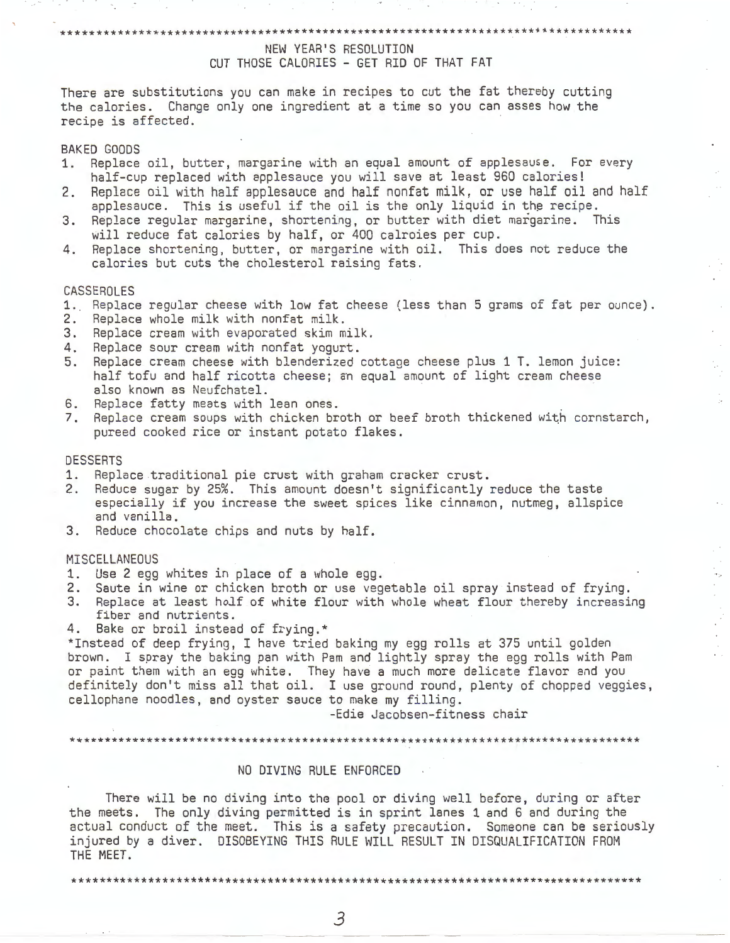### \*\*\*\*\*\*\*\*\*\*\*\*\*\*\*\*\*\*\*\*\*\*\*\*\*\*\*\*\*\*\*\*\*\*\*\*\*\*\*\*\*\*\*\*\*\*\*\*\*\*\*\*\*\*\*\*\*\*\*\*\*\*\*\*\*\*\*'\*\*\*\*\*\*\*\*\*\*\*\*\* NEW YEAR'S RESOLUTION CUT THOSE CALORIES - GET RID OF THAT FAT

There are substitutions you can make in recipes to cut the fat thereby cutting the calories. Change only one ingredient at a time so you can asses how the recipe is affected.

#### BAKED GOODS

- 1. Replace oil, butter, margarine with an equal amount of applesause. For every half-cup replaced with applesauce you will save at least 960 calories!
- 2. Replace oil with half applesauce and half nonfat milk, or use half oil and half applesauce. This is useful if the oil is the only liquid in the recipe.
- 3. Replace regular margarine, shortening, or butter with diet margarine. This will reduce fat calories by half, or 400 calroies per cup.
- 4. Replace shortening, butter, or margarine with oil. This does not reduce the calories but cuts the cholesterol raising fats.

### CASSEROLES

- 1. Replace reqular cheese with low fat cheese (less than 5 grams of fat per ounce).
- 2. Replace whole milk with nonfat milk.
- 3. Replace cream with evaporated skim milk.
- 4. Replace sour cream with nonfat yogurt.
- 5. Replace cream cheese with blenderized cottage cheese plus 1 T. lemon juice: half tofu and half ricotta cheese; an equal amount of light cream cheese<br>also known as Neufchatel.
- 6. Replace fatty meats with lean ones.
- 7. Replace cream soups with chicken broth or beef broth thickened with cornstarch, pureed cooked rice or instant potato flakes.

#### DESSERTS

- 1. Replace traditional pie crust with graham cracker crust.<br>2. Reduce sugar by 25%. This amount doesn't significantly :
- Reduce sugar by 25%. This amount doesn't significantly reduce the taste especially if you increase the sweet spices like cinnamon, nutmeg, allspice and vanilla.
- 3. Reduce chocolate chips and nuts by half.

#### **MISCELLANEOUS**

- 1. Use 2 egg whites in place of a whole egg.
- 2. Saute in wine or chicken broth or use vegetable oil spray instead of frying.<br>3. Replace at least holf of white flour with whole wheat flour thereby increasi
- Replace at least holf of white flour with whole wheat flour thereby increasing fiber and nutrients.

4. Bake or broil instead of frying.\*

\*Instead of deep frying, I have tried baking my egg rolls at 375 until golden brown. I spray the baking pan with Pam and lightly spray the egg rolls with Pam or paint them with an egg white. They have a much more delicate flavor and you definitely don't miss all that oil. I use ground round, plenty of chopped veggies, cellophane noodles, and oyster sauce to make my filling.

-Edie Jacobsen-fitness chair

\*\*\*\*\*\*\*\*\*\*\*\*\*\*\*\*\*\*\*\*\*\*\*\*\*\*\*\*\*\*

#### NO DIVING RULE ENFORCED

There will be no diving into the pool or diving well before, during or after the meets. The only diving permitted is in sprint lanes 1 and 6 and during the actual conduct of the meet. This is a safety precaution. Someone can be seriously injured by a diver. DISOBEYING THIS RULE WILL RESULT IN DISQUALIFICATION FROM THE MEET.

\*\*\*\*\*\*\*\*\*\*\*\*\*\*\*\*\*\*\*\*\*\*\*\*\*\*\*\*\*\*\*\*\*\*\*\*\*\*\*\*\*\*\*\*\*\*\*\*\*\*\*\*\*\*\*\*\*\*\*\*\*\*\*\*\*\*\*\*\*\*\*\*\*\*\*\*\*\*\*\*\*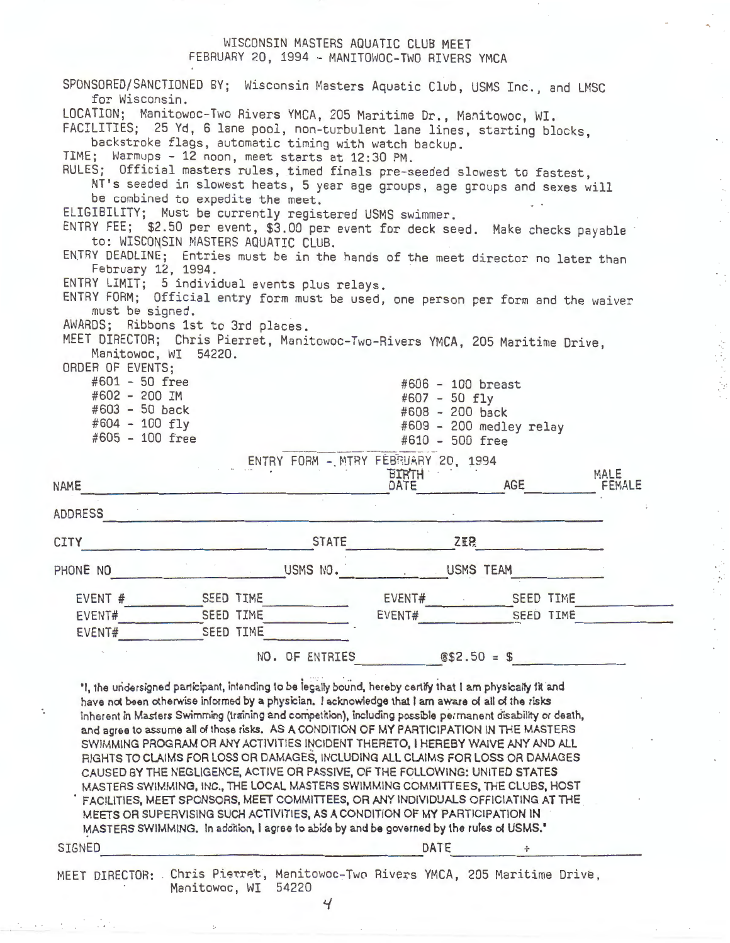### WISCONSIN MASTERS AQUATIC CLUB MEET FEBRUARY 20, 1994 - MANITOWOC-TWO RIVERS YMCA

| for Wisconsin.                    |                                                                                                                                                                                                                                                                                                                                                                                                                                                                                                                                                                                                                                                                                                                                                                                                                                                                                                                                        | SPONSORED/SANCTIONED BY; Wisconsin Masters Aquatic Club, USMS Inc., and LMSC |                         |                |
|-----------------------------------|----------------------------------------------------------------------------------------------------------------------------------------------------------------------------------------------------------------------------------------------------------------------------------------------------------------------------------------------------------------------------------------------------------------------------------------------------------------------------------------------------------------------------------------------------------------------------------------------------------------------------------------------------------------------------------------------------------------------------------------------------------------------------------------------------------------------------------------------------------------------------------------------------------------------------------------|------------------------------------------------------------------------------|-------------------------|----------------|
|                                   | LOCATION; Manitowoc-Two Rivers YMCA, 205 Maritime Dr., Manitowoc, WI.<br>FACILITIES; 25 Yd, 6 lane pool, non-turbulent lane lines, starting blocks,<br>backstroke flags, automatic timing with watch backup.<br>TIME; Warmups - 12 noon, meet starts at 12:30 PM.                                                                                                                                                                                                                                                                                                                                                                                                                                                                                                                                                                                                                                                                      |                                                                              |                         |                |
|                                   | RULES; Official masters rules, timed finals pre-seeded slowest to fastest,<br>NT's seeded in slowest heats, 5 year age groups, age groups and sexes will                                                                                                                                                                                                                                                                                                                                                                                                                                                                                                                                                                                                                                                                                                                                                                               |                                                                              |                         |                |
|                                   | be combined to expedite the meet.<br>ELIGIBILITY; Must be currently registered USMS swimmer.                                                                                                                                                                                                                                                                                                                                                                                                                                                                                                                                                                                                                                                                                                                                                                                                                                           |                                                                              |                         |                |
|                                   | ENTRY FEE; \$2.50 per event, \$3.00 per event for deck seed. Make checks payable<br>to: WISCONSIN MASTERS AQUATIC CLUB.                                                                                                                                                                                                                                                                                                                                                                                                                                                                                                                                                                                                                                                                                                                                                                                                                |                                                                              |                         |                |
| February 12, 1994.                | ENTRY DEADLINE; Entries must be in the hands of the meet director no later than                                                                                                                                                                                                                                                                                                                                                                                                                                                                                                                                                                                                                                                                                                                                                                                                                                                        |                                                                              |                         |                |
|                                   | ENTRY LIMIT; 5 individual events plus relays.<br>ENTRY FORM; Official entry form must be used, one person per form and the waiver                                                                                                                                                                                                                                                                                                                                                                                                                                                                                                                                                                                                                                                                                                                                                                                                      |                                                                              |                         |                |
| must be signed.                   | AWARDS; Ribbons 1st to 3rd places.                                                                                                                                                                                                                                                                                                                                                                                                                                                                                                                                                                                                                                                                                                                                                                                                                                                                                                     |                                                                              |                         |                |
| ORDER OF EVENTS:                  | MEET DIRECTOR; Chris Pierret, Manitowoc-Two-Rivers YMCA, 205 Maritime Drive,<br>Manitowoc, WI 54220.                                                                                                                                                                                                                                                                                                                                                                                                                                                                                                                                                                                                                                                                                                                                                                                                                                   |                                                                              |                         |                |
| $#601 - 50$ free<br>#602 - 200 IM |                                                                                                                                                                                                                                                                                                                                                                                                                                                                                                                                                                                                                                                                                                                                                                                                                                                                                                                                        | #606 - 100 breast<br>#607 - 50 fly                                           |                         |                |
| #603 - 50 back                    |                                                                                                                                                                                                                                                                                                                                                                                                                                                                                                                                                                                                                                                                                                                                                                                                                                                                                                                                        | #608 - 200 back                                                              |                         |                |
| #604 - 100 fly<br>#605 - 100 free |                                                                                                                                                                                                                                                                                                                                                                                                                                                                                                                                                                                                                                                                                                                                                                                                                                                                                                                                        | #610 - 500 free                                                              | #609 - 200 medley relay |                |
|                                   |                                                                                                                                                                                                                                                                                                                                                                                                                                                                                                                                                                                                                                                                                                                                                                                                                                                                                                                                        | ENTRY FORM - MTRY FEBRUARY 20, 1994                                          |                         |                |
| <b>NAME</b>                       |                                                                                                                                                                                                                                                                                                                                                                                                                                                                                                                                                                                                                                                                                                                                                                                                                                                                                                                                        | <b>BIRTH</b><br>DATE                                                         | AGE                     | MALE<br>FEMALE |
|                                   |                                                                                                                                                                                                                                                                                                                                                                                                                                                                                                                                                                                                                                                                                                                                                                                                                                                                                                                                        |                                                                              |                         |                |
| <b>ADDRESS</b>                    |                                                                                                                                                                                                                                                                                                                                                                                                                                                                                                                                                                                                                                                                                                                                                                                                                                                                                                                                        |                                                                              |                         |                |
| CITY                              | <b>STATE</b>                                                                                                                                                                                                                                                                                                                                                                                                                                                                                                                                                                                                                                                                                                                                                                                                                                                                                                                           | <b>ZEP</b>                                                                   |                         |                |
| PHONE NO                          | USMS NO.                                                                                                                                                                                                                                                                                                                                                                                                                                                                                                                                                                                                                                                                                                                                                                                                                                                                                                                               | USMS TEAM                                                                    |                         |                |
| EVENT #                           | SEED TIME                                                                                                                                                                                                                                                                                                                                                                                                                                                                                                                                                                                                                                                                                                                                                                                                                                                                                                                              | EVENT#                                                                       | <b>SEED TIME</b>        |                |
| EVENT#                            | <b>SEED TIME</b>                                                                                                                                                                                                                                                                                                                                                                                                                                                                                                                                                                                                                                                                                                                                                                                                                                                                                                                       | EVENT#                                                                       | <b>SEED TIME</b>        |                |
| EVENT#                            | <b>SEED TIME</b>                                                                                                                                                                                                                                                                                                                                                                                                                                                                                                                                                                                                                                                                                                                                                                                                                                                                                                                       |                                                                              |                         |                |
|                                   | NO. OF ENTRIES                                                                                                                                                                                                                                                                                                                                                                                                                                                                                                                                                                                                                                                                                                                                                                                                                                                                                                                         |                                                                              | $$52.50 = $$            |                |
|                                   | 'I, the undersigned participant, intending to be legally bound, hereby certify that I am physically it and<br>have not been otherwise informed by a physician. I acknowledge that I am aware of all of the risks<br>inherent in Masters Swimming (training and competition), including possible permanent disability or death,<br>and agree to assume all of those risks. AS A CONDITION OF MY PARTICIPATION IN THE MASTERS<br>SWIMMING PROGRAM OR ANY ACTIVITIES INCIDENT THERETO, I HEREBY WAIVE ANY AND ALL<br>RIGHTS TO CLAIMS FOR LOSS OR DAMAGES, INCLUDING ALL CLAIMS FOR LOSS OR DAMAGES<br>CAUSED BY THE NEGLIGENCE, ACTIVE OR PASSIVE, OF THE FOLLOWING: UNITED STATES<br>MASTERS SWIMMING, INC., THE LOCAL MASTERS SWIMMING COMMITTEES, THE CLUBS, HOST<br>FACILITIES, MEET SPONSORS, MEET COMMITTEES, OR ANY INDIVIDUALS OFFICIATING AT THE<br>MEETS OR SUPERVISING SUCH ACTIVITIES, AS A CONDITION OF MY PARTICIPATION IN |                                                                              |                         |                |
| <b>SIGNED</b>                     | MASTERS SWIMMING. In addition, I agree to abide by and be governed by the rules of USMS."                                                                                                                                                                                                                                                                                                                                                                                                                                                                                                                                                                                                                                                                                                                                                                                                                                              | DATE                                                                         |                         |                |

一、大臣 医无效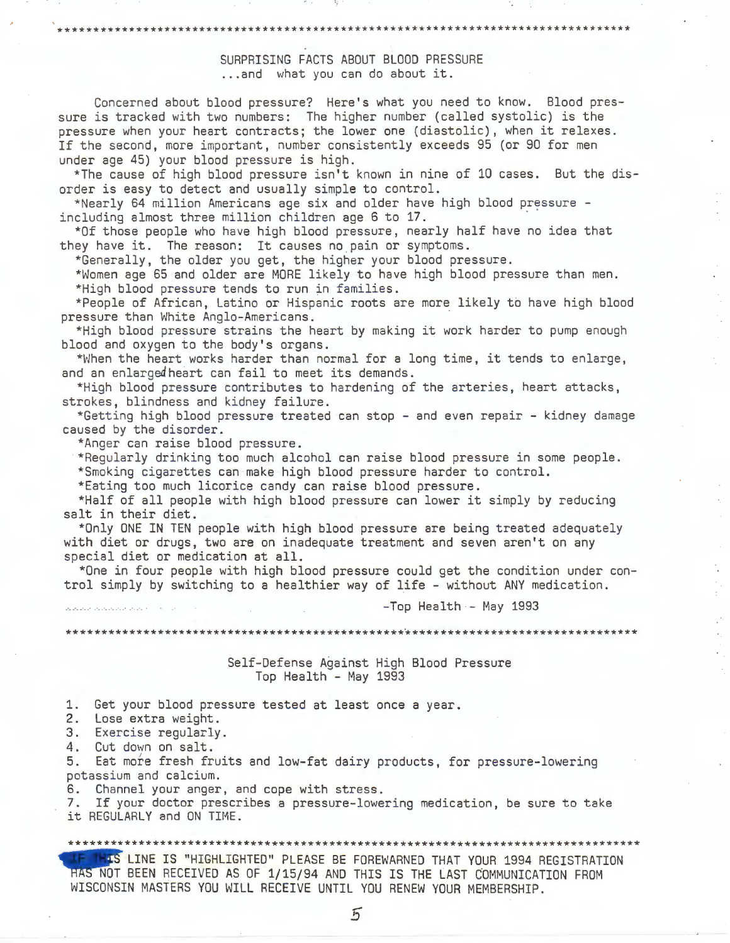# \*\*\*\*\*\*\*\*\*\*\*\*\*\*\*\*\*\*\*\*\*\*\*\*\*\*\*\*\*\*\*\*\*\*\*\*\*\*\*\*\*\*\*\*\*\*\*\*\*\*\*\*\*\*\*\*\*\*\*\*\*\*\*\*\*\*\*\*\*\*\*\*\*\*\*\*\*\*\*\*\*

SURPRISING FACTS ABOUT BLOOD PRESSURE ... and what you can do about it.

Concerned about blood pressure? Here's what you need to know. Blood pressure is tracked with two numbers: The higher number (called systolic) is the pressure when your heart contracts; the lower one (diastolic), when it relaxes. If the second, more important, number consistently exceeds 95 (or 90 for men under age 45) your blood pressure is high.

\*The cause of high blood pressure isn't known in nine of 10 cases. But the disorder is easy to detect and usually simple to control.

\*Nearly 64 million Americans age six and older have high blood pressure including almost three million children age 6 to 17.<br>\*Of those people who have high blood pressure, nearly half have no idea that

they have it. The reason: It causes no pain or symptoms.

\*Generally, the older you get, the higher your blood pressure.

\*Women age 65 and older are MORE likely to have high blood pressure than men. \*High blood pressure tends to run in families.

\*People of African, Latino or Hispanic roots are more likely to have high blood pressure than White Anglo-Americans.

\*High blood pressure strains the heart by making it work harder to pump enough blood and oxygen to the body's organs.

\*When the heart works harder than normal for a long time, it tends to enlarge, and an enlargedheart can fail to meet its demands.

\*High blood pressure contributes to hardening of the arteries, heart attacks, strokes, blindness and kidney failure.

\*Getting high blood pressure treated can stop - and even repair - kidney damage caused by the disorder.

\*Anger can raise blood pressure.

· \*Regularly drinking too much alcohol can raise blood pressure in some people.

\*Smoking cigarettes can make high blood pressure harder to control.

\*Eating too much licorice candy can raise blood pressure.

\*Half of all people with high blood pressure can lower it simply by reducing salt in their diet.

\*Only ONE IN TEN people with high blood pressure are being treated adequately with diet or drugs, two are on inadequate treatment and seven aren't on any special diet or medication at all.

\*One in four people with high blood pressure could get the condition under control simply by switching to a healthier way of life - without ANY medication.

 $-Top$  Health - May 1993

 $\cdot$ 

\*\*\*\*\*\*\*\*\*\*\*\*\*\*\*\*\*\*\*\*\*\*\*\*\*\*\*\*\*\*\*

Self-Defense Against High Blood Pressure Top Health - May 1993

1. Get your blood pressure tested at least once a year.

2. Lose extra weight.

3. Exercise regularly.

4. Cut down on salt.

5. Eat more fresh fruits and low-fat dairy products, for pressure-lowering potassium and calcium.

6. Channel your anger, and cope with stress.

7. If your doctor prescribes a pressure-lowering medication, be sure to take it REGULARLY and ON TIME.

\*\*\*\*\*\*\*\*\*\*\*\*\*\*\*\*\*\*\*\*\*\*\*\*\*\*\*\*\*\*\*\*\*\*\*\*\*\*\*\*\*\*\*\*\*\*\*\*\*\*\*\*\*\*\*\*\*\*\*\*\*\*\*\*\*\*\*\*\*\*\*\*\*\*\*\*\*\*\*\*\*

it REGULARLY and<br>\*\*\*\*\*\*\*\*\*\*\*\*\*\*\*\*\*<br>\*\* LINE IS<br>HAS NOT BEEN RECE LINE IS "HIGHLIGHTED" PLEASE BE FOREWARNED THAT YOUR 1994 REGISTRATION HAS NOT BEEN RECEIVED AS OF 1/15/94 AND THIS IS THE LAST COMMUNICATION FROM WISCONSIN MASTERS YOU WILL RECEIVE UNTIL YOU RENEW YOUR MEMBERSHIP.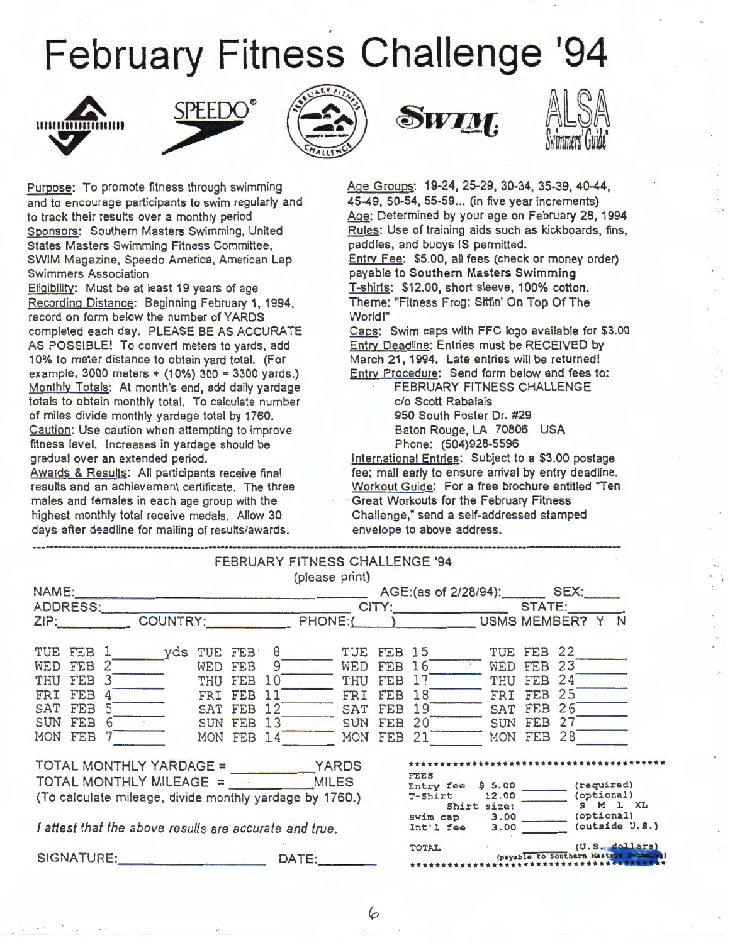# February Fitness Challenge '94











Purpose: To promote fitness through swimming and to encourage participants to swim regularly and to track their results over a monthly period Sponsors: Southern Masters Swimming, United States Masters Swimming Fitness Committee, SWIM Magazine, Speedo America, American Lap Swimmers Association

Eliaibility: Must be at least 19 years of age Recording Distance: Beginning February 1, 1994, record on form below the number of YARDS completed each day. PLEASE BE AS ACCURATE AS POSSIBLE! To convert meters to yards, add 10% to meter distance to obtain yard total. (For example, 3000 meters + (10%) 300 = 3300 yards.) Monthly Totals: At month's end, add daily yardage totals to obtain monthly total. To calculate number of miles divide monthly yardage total by 1760. Caution: Use caution when attempting to improve fitness level. Increases in yardage should be gradual over an extended period.

Awards & Results: All participants receive final results and an achievement certificate. The three males and females in each age group with the highest monthly total receive medals. Allow 30 days after deadline for mailing of results/awards.

Age Groups: 19-24, 25-29, 30-34, 35-39, 40-44. 45-49, 50-54, 55-59 ... (in five year increments) Age: Determined by your age on February 28, 1994 Rules: Use of training aids such as kickboards, fins, paddles, and buoys IS permitted. Entry Fee: \$5.00, all fees (check or money order) payable to **Southern Masters Swimming**  T-shirts: \$12.00, short sleeve, 100% cotton. Theme: "Fitness Frog: Sittin' On Top Of The World!"

Caps: Swim caps with FFC logo available for \$3.00 Entry Deadline: Entries must be RECEIVED by March 21, 1994. Late entries will be returned! Entry Procedure: Send form below and fees to:

> FEBRUARY FITNESS CHALLENGE c/o Scott Rabalais 950 South Foster Dr. #29 Baton Rouge, LA 70806 USA Phone: (504)928-5596

International Entries: Subject to a \$3.00 postage fee; mail early to ensure arrival by entry deadline. Workout Guide: For a free brochure entitled "Ten Great Workouts for the February Fitness Challenge," send a self-addressed stamped envelope to above address.

|                                     |  |            |                          |                                                                                            |                          |            | uays arier deadline for malling of results/awards. The envelope to above address. |                                     |            |                          |                          |  |
|-------------------------------------|--|------------|--------------------------|--------------------------------------------------------------------------------------------|--------------------------|------------|-----------------------------------------------------------------------------------|-------------------------------------|------------|--------------------------|--------------------------|--|
|                                     |  |            |                          | (please print)                                                                             |                          |            | FEBRUARY FITNESS CHALLENGE '94                                                    |                                     |            |                          |                          |  |
|                                     |  |            |                          |                                                                                            |                          |            | AGE:(as of 2/28/94): SEX:                                                         |                                     |            |                          |                          |  |
|                                     |  |            |                          | TUE FEB 1 yds TUE FEB 8                                                                    |                          |            | TUE FEB 15                                                                        |                                     | TUE FEB 22 |                          |                          |  |
| WED FEB 2<br>THU FEB 3<br>FRI FEB 4 |  |            |                          | WED FEB 9<br>THU FEB 10<br>FRI FEB 11                                                      | FRI                      | FEB        | WED FEB 16 WED FEB 23<br>THU FEB 17<br>18                                         |                                     |            | THU FEB 24<br>FRI FEB 25 |                          |  |
| SAT FEB 5<br>SUN FEB 6<br>MON FEB   |  |            | SUN FEB 13<br>MON FEB 14 | SAT FEB 12                                                                                 | SAT<br>SUN<br>MON FEB 21 | FEB<br>FEB | 19<br>20                                                                          | SAT FEB 26<br>MON FEB 28            |            | SUN FEB 27               |                          |  |
|                                     |  |            |                          | $TOTAL MONTHLY MILEAGE =$ MILES<br>(To calculate mileage, divide monthly yardage by 1760.) |                          |            | <b>FEES</b><br>T-Shirt                                                            |                                     |            |                          | (required)<br>(optional) |  |
|                                     |  |            |                          | I attest that the above results are accurate and true.                                     |                          |            | Shirt size: S M L XL<br>Swim cap 3.00 (optional)<br>$Int'1$ fee $3.00$            |                                     |            |                          | (outside U.S.)           |  |
|                                     |  | SIGNATURE: |                          | DATE:                                                                                      |                          |            | TOTAL (U.S. dollars)                                                              | (payable to Southern Masters France |            |                          |                          |  |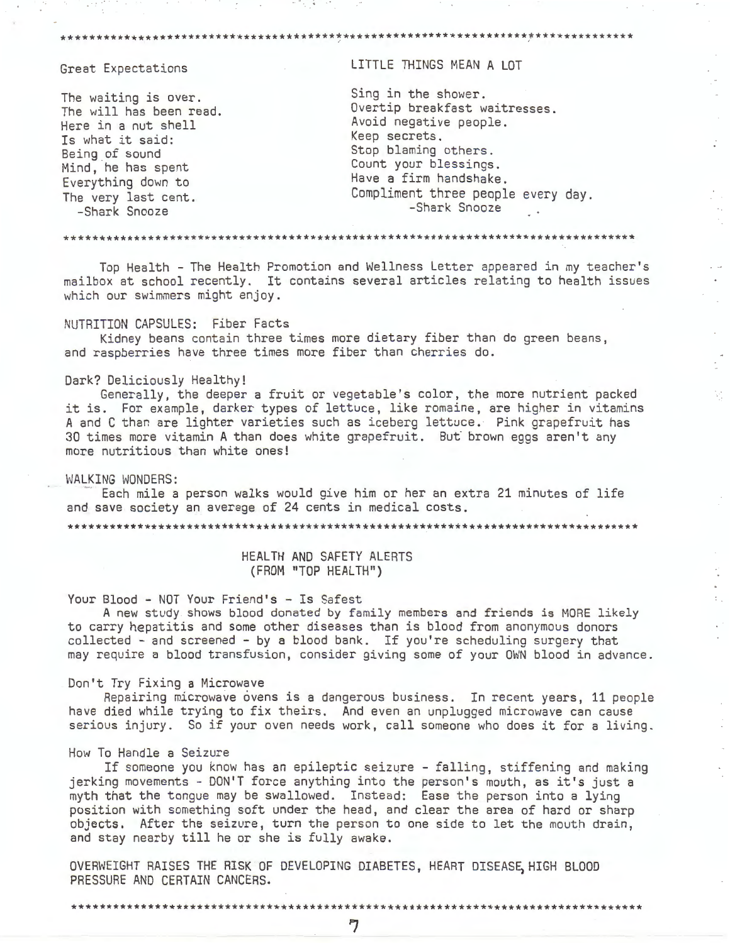#### \*\*\*\*\*\*\*\*\*\*\*\*\*\*\*\*\*\*\*\*

#### Great Expectations

The waiting is over. The will has been read. Here in a nut shell Is what it said: Being of sound Mind, he has spent Everything down to The very last cent. -Shark Snooze

LITTLE THINGS MEAN A LOT

Sing in the shower. Overtip breakfast waitresses. Avoid negative people. Keep secrets. Stop blaming others. Count your blessings. Have a firm handshake. Compliment three people every day. -Shark Snooze

V,

Top Health - The Health Promotion and Wellness Letter appeared in my teacher's mailbox at school recently. It contains several articles relating to health issues which our swimmers might enjoy.

#### NUTRITION CAPSULES: Fiber Facts

Kidney beans contain three times more dietary fiber than do green beans, and raspberries have three times more fiber than cherries do.

#### Dark? Deliciously Healthy!

Generally, the deeper a fruit or vegetable's color, the more nutrient packed it is. For example, darker types of lettuce, like romaine, are higher in vitamins A and C than are lighter varieties such as iceberg lettuce. Pink grapefruit has 30 times more vitamin A than does white grapefruit. But brown eggs aren't any more nutritious than white ones!

#### WALKING WONDERS:

Each mile a person walks would give him or her an extra 21 minutes of life and save society an average of 24 cents in medical costs.

HEALTH AND SAFETY ALERTS (FROM "TOP HEALTH")

#### Your Blood - NOT Your Friend's - Is Safest

A new study shows blood donated by family members and friends is MORE likely to carry hepatitis and some other diseases than is blood from anonymous donors collected - and screened - by a blood bank. If you're scheduling surgery that may require a blood transfusion, consider giving some of your OWN blood in advance.

#### Don't Try Fixing a Microwave

\*\*\*\*\*\*\*\*\*\*\*\*\*\*\*\*\*\*\*\*\*\*\*\*\*\*\*\*\*\*\*

Repairing microwave ovens is a dangerous business. In recent years, 11 people have died while trying to fix theirs. And even an unplugged microwave can cause serious injury. So if your oven needs work, call someone who does it for a living.

#### How To Handle a Seizure

If someone you know has an epileptic seizure - falling, stiffening and making jerking movements - DON'T force anything into the person's mouth, as it's just a myth that the tongue may be swallowed. Instead: Ease the person into a lying position with something soft under the head, and clear the area of hard or sharp objects. After the seizure, turn the person to one side to let the mouth drain, and stay nearby till he or she is fully awake.

OVERWEIGHT RAISES THE RISK OF DEVELOPING DIABETES, HEART DISEASE, HIGH BLOOD PRESSURE AND CERTAIN CANCERS.

\*\*\*\*\*\*\*\*\*\*\*\*\*\*\*\*\*\*\*\*\*\*\*\*\*\*\*\*\*\*\*\*\*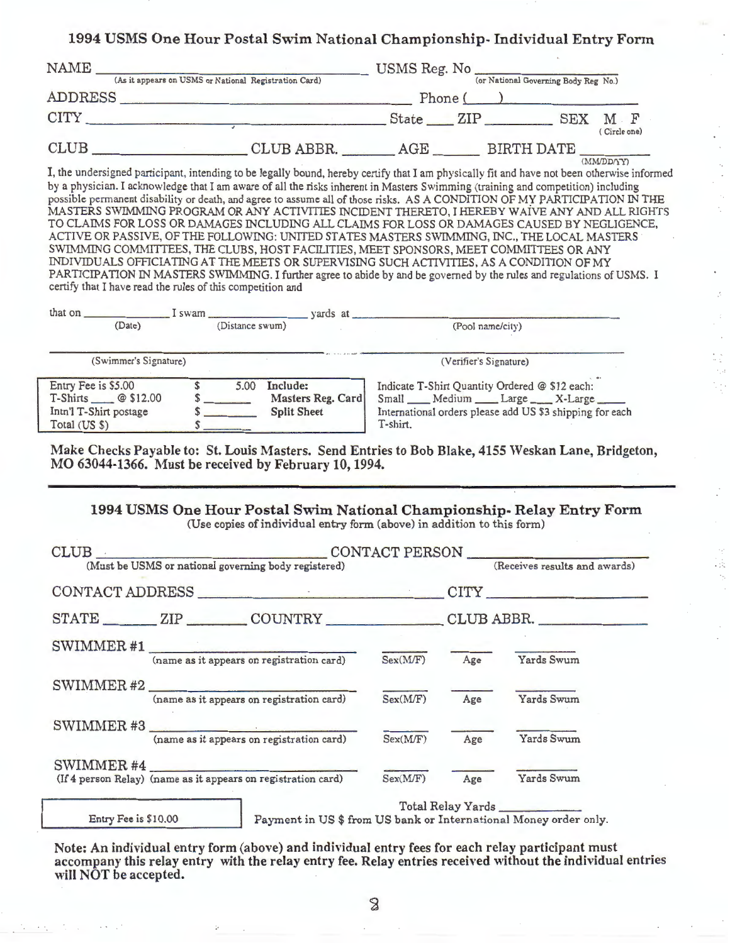## **1994 USMS One Hour Postal Swim National Championship- Individual Entry Form**

| NAME<br>(As it appears on USMS or National Registration Card) |                                                 |            |  |            |                     |
|---------------------------------------------------------------|-------------------------------------------------|------------|--|------------|---------------------|
| ADDRESS                                                       | (or National Governing Body Reg No.)<br>Phone ( |            |  |            |                     |
| <b>CITY</b>                                                   |                                                 | State ZIP  |  | <b>SEX</b> | M F<br>(Circle one) |
| <b>CLUB</b>                                                   | CLUB ABBR.                                      | $\rm{AGE}$ |  | BIRTH DATE | (MM/DD/YY)          |

I, the undersigned participant, intending to be legally bound, hereby certify that I am physically fit and have not been otherwise informed by a physician. I acknowledge that I am aware of all the risks inherent in Masters Swimming (training and competition) including possible permanent disability or death, and agree to assume all of those risks. AS A CONDITION OF MY PARTICIPATION IN THE MASTERS SWIMMING PROGRAM OR ANY ACTIVITIES INCIDENT THERETO, I HEREBY WAIVE ANY AND ALL RIGHTS TO CLAIMS FOR LOSS OR DAMAGES INCLUDING ALL CLAIMS FOR LOSS OR DAMAGES CAUSED BY NEGLIGENCE, ACTIVE OR PASSIVE, OF THE FOLLOWING: UNITED STATES MASTERS SWIMMING, INC., THE LOCAL MASTERS SWIMMING COMMITTEES, THE CLUBS, HOST FACILITIES, MEET SPONSORS, MEET COMMITTEES OR ANY INDIVIDUALS OFFICIATING AT THE MEETS OR SUPERVISING SUCH ACTIVITIES, AS A CONDITION OF MY PARTICIPATION IN MASTERS SWIMMING. I further agree to abide by and be governed by the rules and regulations of USMS. I certify that I have read the rules of this competition and

| that on                                                                                | $I$ swam $\qquad$ |                 | vards at                                            |                                                                                                                                                                  |  |  |  |  |
|----------------------------------------------------------------------------------------|-------------------|-----------------|-----------------------------------------------------|------------------------------------------------------------------------------------------------------------------------------------------------------------------|--|--|--|--|
| (Date)                                                                                 |                   | (Distance swum) |                                                     | (Pool name/city)                                                                                                                                                 |  |  |  |  |
| (Swimmer's Signature)                                                                  |                   |                 |                                                     | (Verifier's Signature)                                                                                                                                           |  |  |  |  |
| Entry Fee is \$5.00<br>T-Shirts $@ $12.00$<br>Intn'l T-Shirt postage<br>Total $(US S)$ |                   | 5.00            | Include:<br>Masters Reg. Card<br><b>Split Sheet</b> | Indicate T-Shirt Quantity Ordered @ \$12 each:<br>Small __ Medium __ Large __ X-Large __<br>International orders please add US \$3 shipping for each<br>T-shirt. |  |  |  |  |

Make Checks Payable to: St. Louis Masters. Send Entries to Bob Blake, 4155 Weskan Lane, Bridgeton, MO 63044-1366. Must be received by February 10, 1994.

#### **1994 USMS One Hour Postal Swim National Championship- Relay Entry Form**  (Use copies of individual entry form (above) in addition to this form)

|                      | (Must be USMS or national governing body registered)          |          |     | (Receives results and awards)                                    |
|----------------------|---------------------------------------------------------------|----------|-----|------------------------------------------------------------------|
|                      |                                                               |          |     | CONTACT ADDRESS CONTACT ADDRESS                                  |
|                      |                                                               |          |     | STATE ZIP COUNTRY CLUB ABBR.                                     |
|                      | SWIMMER#1<br>(name as it appears on registration card)        | Sex(MF)  | Age | Yards Swum                                                       |
|                      |                                                               |          |     |                                                                  |
|                      | SWIMMER $#2$ (name as it appears on registration card)        | Sex(M/F) | Age | Yards Swum                                                       |
|                      | SWIMMER#3<br>(name as it appears on registration card)        | Sex(MF)  | Age | Yards Swum                                                       |
| SWIMMER#4            |                                                               |          |     | Yards Swum                                                       |
|                      | (If 4 person Relay) (name as it appears on registration card) | Sex(M/F) | Age | Total Relay Yards                                                |
| Entry Fee is \$10.00 |                                                               |          |     | Payment in US \$ from US bank or International Money order only. |

Note: An individual entry form (above) and individual entry fees for each relay participant must accompany this relay entry with the relay entry fee. Relay entries received without the individual entries will NOT be accepted.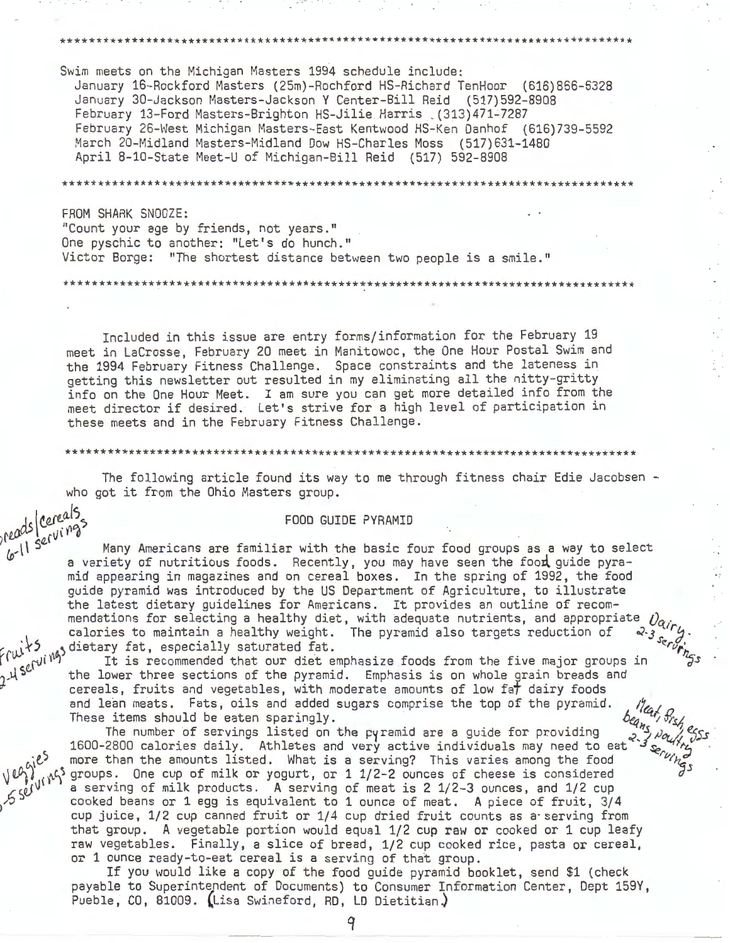Swim meets on the Michigan Masters 1994 schedule include: January 16-Rockford Masters (25m)-Rochford HS-Richard TenHoor (616)866-6328 January 30-Jackson Masters-Jackson Y Center-Bill Reid (517)592-8908 February 13-Ford Masters-Brighton HS-Jilie Harris \_(313)471-7287 February 26-West Michigan Masters-East Kentwood HS-Ken Danhof (616)739-5592 March 20-Midland Masters-Midland Dow HS-Charles Moss (517)631-1480 April 8-10-State Meet-U of Michigan-Bill Reid (517) 592-8908

\*\*\*\*\*\*\*\*\*\*\*\*\*\*\*\*\*\*\*\*\*\*\*\*\*\*\*\*\*\*\*\*\*\*\*\*\*\*\*\*\*\*\*\*\*\*\*\*\*\*\*\*\*\*\*\*\*\*\*\*\*\*\*\*\*\*\*\*\*\*\*\*\*\*\*\*\*\*\*\*\*

\*\*\*\*\*\*\*\*\*\*\*\*\*\*\*\*\*\*\*\*\*\*\*\*\*\*\*\*\*\*\*\*\*\*\*\*\*\*\*\*\*\*\*\*\*\*\*\*\*\*\*\*\*\*\*\*\*\*\*\*\*\*\*\*\*\*\*\*\*\*\*\*\*\*\*\*\*\*\*\*\*

\*\*\*\*\*\*\*\*\*\*\*\*\*\*\*\*\*\*\*\*\*\*\*\*\*\*\*\*\*\*\*\*\*\*\*\*\*\*\*\*\*\*\*\*\*\*\*\*\*\*\*\*\*\*\*\*\*\*\*\*\*\*\*\*\*\*\*\*\*\*\*\*\*\*\*\*\*\*\*\*\*

FROM SHARK SNOOZE: "Count your age by friends, not years." One pyschic to another: "Let's do hunch." Victor Borge: "The shortest distance between two people is a smile."

Included in this issue are entry forms/information for the February 19 meet in Lacrosse, February 20 meet in Manitowoc, the One Hour Postal Swim and the 1994 February Fitness Challenge. Space constraints and the lateness in getting this newsletter out resulted in my eliminating all the nitty-gritty info on the One Hour Meet. I am sure you can get more detailed info from the meet director if desired. Let's strive for a high level of participation in these meets and in the February Fitness Challenge.

\*\*\*\*\*\*\*\*\*\*\*\*\*\*\*\*\*\*\*\*\*\*\*\*\*\*\*\*\*\*\*\*\*\*\*\*\*\*\*\*\*\*\*\*\*\*\*\*\*\*\*\*\*\*\*\*\*\*\*\*\*\*\*\*\*\*\*\*\*\*\*\*\*\*\*\*\*\*\*\*\*

The following article found its way to me through fitness chair Edie Jacobsen who got it from the Ohio Masters group.

reads cereals<br> *c* il servings<br> *l* <sup>11</sup> Servings<br>
Many Americans are form? reads/cereals. Many Americans are familiar with the basic four food groups as a way to select a variety of nutritious foods. Recently, you may have seen the food guide pyramid appearing in magazines and on cereal boxes. In the spring of 1992, the food guide pyramid was introduced by the US Department of Agriculture, to illustrate the latest dietary guidelines for Americans. It provides an outline of recommendations for selecting a healthy diet, with adequate nutrients, and appropriate  $\partial_{\alpha_{ij}}$ 

calories to maintain a healthy weight. The pyramid also targets reduction of<br>
1calories for the pyramid also targets reduction of<br>
1calories the section of the pyramid also from the five mainr order<br>
1calories the lower th It is recommended that our diet emphasize foods from the five major groups in<br>the lower three sections of the pyramid. Emphasis is on whole grain breads and cereals, fruits and vegetables, with moderate amounts of low fat dairy foods and lean meats. Fats, oils and added sugars comprise the top of the pyramid. These items should be eaten sparingly.

The number of servings listed on the pyramid are a guide for providing 1600-2800 calories daily. Athletes and very active individuals may need to eat **0**<sup>2</sup> more than the amounts listed. What is a serving? This varies among the food  $\sqrt{\ell_1^2}$ ,  $\sqrt{\ell_2^2}$  groups. One cup of milk or yogurt, or 1 1/2-2 ounces of cheese is considered groups. One cup of milk or yogurt, or 1 1/2-2 ounces of cheese is considered a serving of milk products. A serving of meat is 2 1/2-3 ounces, and 1/2 cup cooked beans or 1 egg is equivalent to 1 ounce of meat. A piece of fruit, 3/4 cup juice, 1/2 cup canned fruit or 1/4 cup dried fruit counts as a· serving from that group. A vegetable portion would equal 1/2 cup raw or cooked or 1 cup leafy raw vegetables. Finally, a slice of bread, 1/2 cup cooked rice, pasta or cereal, or 1 ounce ready-to-eat cereal is a serving of that group.

> If you would like a copy of the food guide pyramid booklet, send \$1 (check payable to Superintendent of Documents) to Consumer Information Center, Dept 159Y, Pueble, CO, 81009. (Lisa Swineford, RD, LD Dietitian.)

> > 9